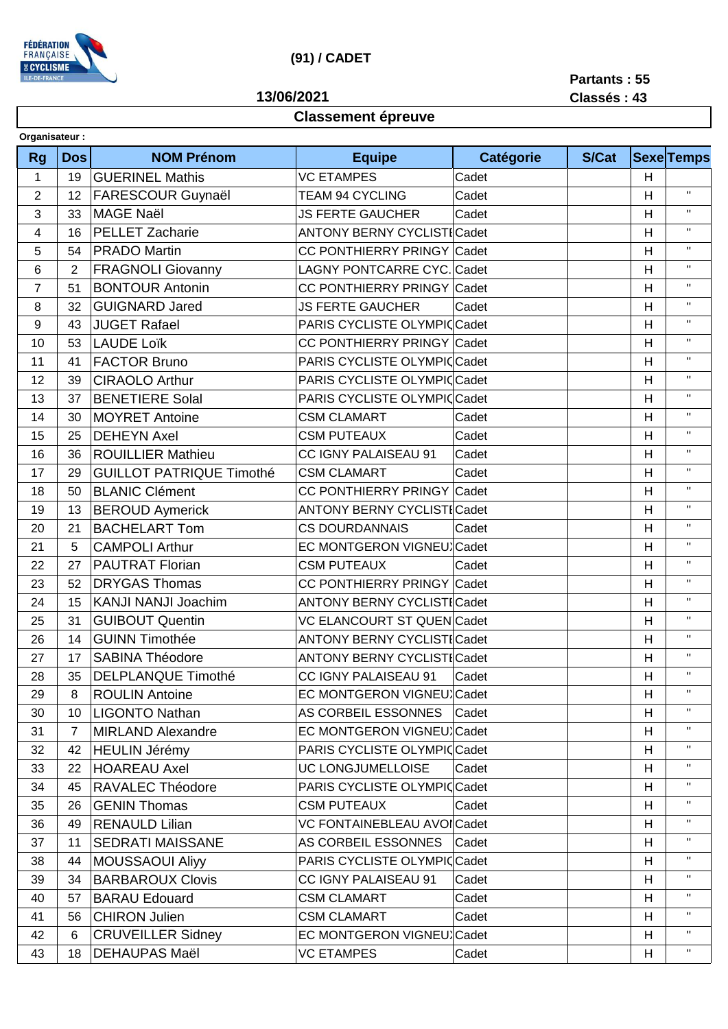

## **(91) / CADET**

**13/06/2021**

**Partants : 55**

## **Classement épreuve**

**Classés : 43**

| Organisateur:  |                |                                 |                                   |           |       |   |                    |  |  |  |
|----------------|----------------|---------------------------------|-----------------------------------|-----------|-------|---|--------------------|--|--|--|
| <b>Rg</b>      | <b>Dos</b>     | <b>NOM Prénom</b>               | <b>Equipe</b>                     | Catégorie | S/Cat |   | <b>Sexe</b> Temps  |  |  |  |
| 1              | 19             | <b>GUERINEL Mathis</b>          | <b>VC ETAMPES</b>                 | Cadet     |       | H |                    |  |  |  |
| $\overline{2}$ | 12             | <b>FARESCOUR Guynaël</b>        | Cadet<br><b>TEAM 94 CYCLING</b>   |           |       | H | $\mathbf{H}$       |  |  |  |
| 3              | 33             | <b>MAGE Naël</b>                | <b>JS FERTE GAUCHER</b>           | Cadet     |       | H | $\mathbf{H}$       |  |  |  |
| 4              | 16             | <b>PELLET Zacharie</b>          | <b>ANTONY BERNY CYCLISTICadet</b> |           |       | H | $\mathbf H$        |  |  |  |
| 5              | 54             | <b>PRADO Martin</b>             | CC PONTHIERRY PRINGY Cadet        |           |       | H | $\mathbf H$        |  |  |  |
| 6              | $\overline{2}$ | <b>FRAGNOLI Giovanny</b>        | LAGNY PONTCARRE CYC. Cadet        |           |       | H | $\mathbf H$        |  |  |  |
| $\overline{7}$ | 51             | <b>BONTOUR Antonin</b>          | CC PONTHIERRY PRINGY Cadet        |           |       | H | $\mathbf{H}$       |  |  |  |
| 8              | 32             | <b>GUIGNARD Jared</b>           | <b>JS FERTE GAUCHER</b><br>Cadet  |           |       | H | $\mathbf{H}$       |  |  |  |
| 9              | 43             | <b>JUGET Rafael</b>             | PARIS CYCLISTE OLYMPICCadet       |           |       | H | $\mathbf{H}$       |  |  |  |
| 10             | 53             | <b>LAUDE Loïk</b>               | CC PONTHIERRY PRINGY Cadet        |           |       | H | $\mathbf{H}$       |  |  |  |
| 11             | 41             | <b>FACTOR Bruno</b>             | PARIS CYCLISTE OLYMPICCadet       |           |       | H | $\mathbf{H}$       |  |  |  |
| 12             | 39             | <b>CIRAOLO Arthur</b>           | PARIS CYCLISTE OLYMPICCadet       |           |       | H | $\mathbf H$        |  |  |  |
| 13             | 37             | <b>BENETIERE Solal</b>          | PARIS CYCLISTE OLYMPICCadet       |           |       | H | $\mathbf{H}$       |  |  |  |
| 14             | 30             | <b>MOYRET Antoine</b>           | <b>CSM CLAMART</b>                | Cadet     |       | H | $\mathbf{H}$       |  |  |  |
| 15             | 25             | <b>DEHEYN Axel</b>              | <b>CSM PUTEAUX</b>                | Cadet     |       | H | $\mathbf{H}$       |  |  |  |
| 16             | 36             | <b>ROUILLIER Mathieu</b>        | CC IGNY PALAISEAU 91              | Cadet     |       | Н | $\mathbf H$        |  |  |  |
| 17             | 29             | <b>GUILLOT PATRIQUE Timothé</b> | <b>CSM CLAMART</b>                | Cadet     |       | H | $\mathbf{H}$       |  |  |  |
| 18             | 50             | <b>BLANIC Clément</b>           | CC PONTHIERRY PRINGY              | Cadet     |       | Н | $\mathbf H$        |  |  |  |
| 19             | 13             | <b>BEROUD Aymerick</b>          | <b>ANTONY BERNY CYCLISTICadet</b> |           |       | H | $\mathbf H$        |  |  |  |
| 20             | 21             | <b>BACHELART Tom</b>            | <b>CS DOURDANNAIS</b>             | Cadet     |       | H | $\mathbf{H}$       |  |  |  |
| 21             | 5              | <b>CAMPOLI Arthur</b>           | EC MONTGERON VIGNEU Cadet         |           |       | H | $\mathbf{H}$       |  |  |  |
| 22             | 27             | <b>PAUTRAT Florian</b>          | <b>CSM PUTEAUX</b>                | Cadet     |       | H | $\mathbf{H}$       |  |  |  |
| 23             | 52             | <b>DRYGAS Thomas</b>            | CC PONTHIERRY PRINGY Cadet        |           |       | H | $\mathbf H$        |  |  |  |
| 24             | 15             | <b>KANJI NANJI Joachim</b>      | <b>ANTONY BERNY CYCLISTICadet</b> |           |       | H | $\mathbf H$        |  |  |  |
| 25             | 31             | <b>GUIBOUT Quentin</b>          | <b>VC ELANCOURT ST QUEN Cadet</b> |           |       | H | $\mathbf{H}$       |  |  |  |
| 26             | 14             | <b>GUINN Timothée</b>           | <b>ANTONY BERNY CYCLISTICadet</b> |           |       | H | $\mathbf{H}$       |  |  |  |
| 27             | 17             | <b>SABINA Théodore</b>          | <b>ANTONY BERNY CYCLISTICadet</b> |           |       | H | $\mathbf{H}$       |  |  |  |
| 28             | 35             | <b>DELPLANQUE Timothé</b>       | CC IGNY PALAISEAU 91 Cadet        |           |       | H | $\mathbf{H}$       |  |  |  |
| 29             | 8              | <b>ROULIN Antoine</b>           | EC MONTGERON VIGNEU Cadet         |           |       | н | $\mathbf{H}$       |  |  |  |
| 30             | 10             | <b>LIGONTO Nathan</b>           | AS CORBEIL ESSONNES               | Cadet     |       | H | $\mathbf{H}$       |  |  |  |
| 31             | 7              | <b>MIRLAND Alexandre</b>        | EC MONTGERON VIGNEU Cadet         |           |       | Н | $\mathbf{H}$       |  |  |  |
| 32             | 42             | <b>HEULIN Jérémy</b>            | PARIS CYCLISTE OLYMPICCadet       |           |       | H | $\mathbf{H}$       |  |  |  |
| 33             | 22             | <b>HOAREAU Axel</b>             | UC LONGJUMELLOISE                 | Cadet     |       | H | $\mathbf{H}$       |  |  |  |
| 34             | 45             | RAVALEC Théodore                | PARIS CYCLISTE OLYMPICCadet       |           |       | H | $\mathbf{H}$       |  |  |  |
| 35             | 26             | <b>GENIN Thomas</b>             | <b>CSM PUTEAUX</b>                | Cadet     |       | Н | $\mathbf{H}$       |  |  |  |
| 36             | 49             | <b>RENAULD Lilian</b>           | VC FONTAINEBLEAU AVOI Cadet       |           |       | H | $\mathbf{H}$       |  |  |  |
| 37             | 11             | <b>SEDRATI MAISSANE</b>         | AS CORBEIL ESSONNES               | Cadet     |       | Η |                    |  |  |  |
| 38             | 44             | <b>MOUSSAOUI Aliyy</b>          | PARIS CYCLISTE OLYMPICCadet       |           |       | H | $\mathbf{H}$       |  |  |  |
| 39             | 34             | <b>BARBAROUX Clovis</b>         | CC IGNY PALAISEAU 91              | Cadet     |       | Η | $\mathbf{H}$       |  |  |  |
| 40             | 57             | <b>BARAU Edouard</b>            | <b>CSM CLAMART</b>                | Cadet     |       | H | $\pmb{\mathsf{H}}$ |  |  |  |
| 41             | 56             | <b>CHIRON Julien</b>            | <b>CSM CLAMART</b>                | Cadet     |       | Н | $\pmb{\mathsf{H}}$ |  |  |  |
| 42             | 6              | <b>CRUVEILLER Sidney</b>        | EC MONTGERON VIGNEU Cadet         |           |       | Н | $\pmb{\mathsf{H}}$ |  |  |  |
| 43             | 18             | <b>DEHAUPAS Maël</b>            | <b>VC ETAMPES</b>                 | Cadet     |       | Н | $\pmb{\mathsf{H}}$ |  |  |  |